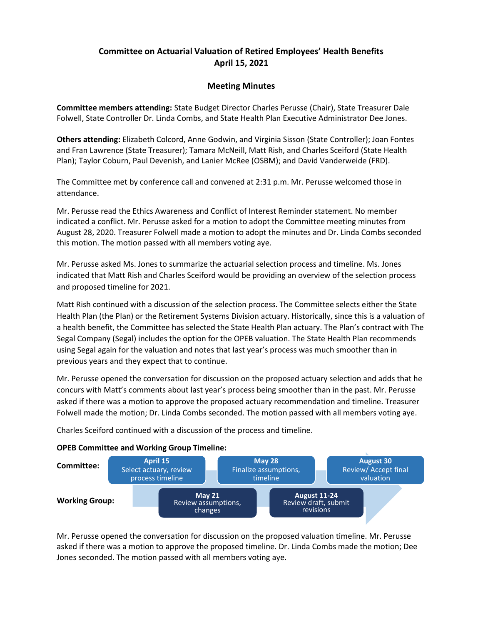## Committee on Actuarial Valuation of Retired Employees' Health Benefits April 15, 2021

## Meeting Minutes

Committee members attending: State Budget Director Charles Perusse (Chair), State Treasurer Dale Folwell, State Controller Dr. Linda Combs, and State Health Plan Executive Administrator Dee Jones.

Others attending: Elizabeth Colcord, Anne Godwin, and Virginia Sisson (State Controller); Joan Fontes and Fran Lawrence (State Treasurer); Tamara McNeill, Matt Rish, and Charles Sceiford (State Health Plan); Taylor Coburn, Paul Devenish, and Lanier McRee (OSBM); and David Vanderweide (FRD).

The Committee met by conference call and convened at 2:31 p.m. Mr. Perusse welcomed those in attendance.

Mr. Perusse read the Ethics Awareness and Conflict of Interest Reminder statement. No member indicated a conflict. Mr. Perusse asked for a motion to adopt the Committee meeting minutes from August 28, 2020. Treasurer Folwell made a motion to adopt the minutes and Dr. Linda Combs seconded this motion. The motion passed with all members voting aye.

Mr. Perusse asked Ms. Jones to summarize the actuarial selection process and timeline. Ms. Jones indicated that Matt Rish and Charles Sceiford would be providing an overview of the selection process and proposed timeline for 2021.

Matt Rish continued with a discussion of the selection process. The Committee selects either the State Health Plan (the Plan) or the Retirement Systems Division actuary. Historically, since this is a valuation of a health benefit, the Committee has selected the State Health Plan actuary. The Plan's contract with The Segal Company (Segal) includes the option for the OPEB valuation. The State Health Plan recommends using Segal again for the valuation and notes that last year's process was much smoother than in previous years and they expect that to continue.

Mr. Perusse opened the conversation for discussion on the proposed actuary selection and adds that he concurs with Matt's comments about last year's process being smoother than in the past. Mr. Perusse asked if there was a motion to approve the proposed actuary recommendation and timeline. Treasurer Folwell made the motion; Dr. Linda Combs seconded. The motion passed with all members voting aye.

Charles Sceiford continued with a discussion of the process and timeline.

## OPEB Committee and Working Group Timeline:



Mr. Perusse opened the conversation for discussion on the proposed valuation timeline. Mr. Perusse asked if there was a motion to approve the proposed timeline. Dr. Linda Combs made the motion; Dee Jones seconded. The motion passed with all members voting aye.